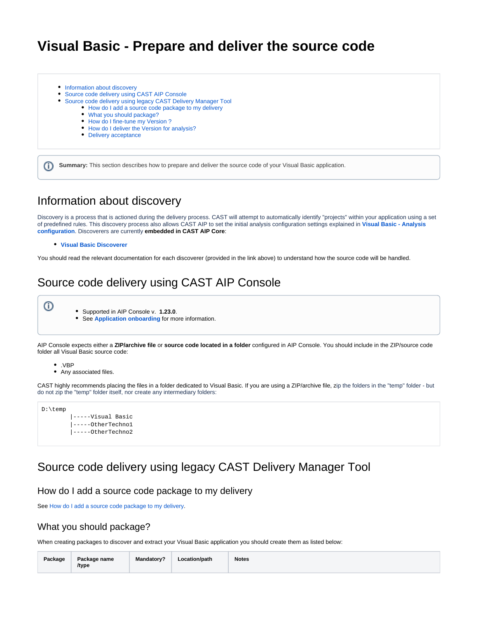# **Visual Basic - Prepare and deliver the source code**

- [Information about discovery](#page-0-0) [Source code delivery using CAST AIP Console](#page-0-1) [Source code delivery using legacy CAST Delivery Manager Tool](#page-0-2) [How do I add a source code package to my delivery](#page-0-3) [What you should package?](#page-0-4) [How do I fine-tune my Version ?](#page-1-0)
	- [How do I deliver the Version for analysis?](#page-1-1)
	- [Delivery acceptance](#page-1-2)

**Summary:** This section describes how to prepare and deliver the source code of your Visual Basic application. ⋒

## <span id="page-0-0"></span>Information about discovery

Discovery is a process that is actioned during the delivery process. CAST will attempt to automatically identify "projects" within your application using a set of predefined rules. This discovery process also allows CAST AIP to set the initial analysis configuration settings explained in **[Visual Basic - Analysis](https://doc.castsoftware.com/display/TECHNOS/Visual+Basic+-+Analysis+configuration)  [configuration](https://doc.castsoftware.com/display/TECHNOS/Visual+Basic+-+Analysis+configuration)**. Discoverers are currently **embedded in CAST AIP Core**:

#### **[Visual Basic Discoverer](https://doc.castsoftware.com/display/TECHNOS/Visual+Basic+Discoverer)**

You should read the relevant documentation for each discoverer (provided in the link above) to understand how the source code will be handled.

## <span id="page-0-1"></span>Source code delivery using CAST AIP Console

⋒

- Supported in AIP Console v. **1.23.0**.
- See **[Application onboarding](https://doc.castsoftware.com/display/DASHBOARDS/Application+onboarding+for+AIP+for+Dashboards)** for more information.

AIP Console expects either a **ZIP/archive file** or **source code located in a folder** configured in AIP Console. You should include in the ZIP/source code folder all Visual Basic source code:

- .VBP
- Any associated files.

CAST highly recommends placing the files in a folder dedicated to Visual Basic. If you are using a ZIP/archive file, zip the folders in the "temp" folder - but do not zip the "temp" folder itself, nor create any intermediary folders:

| D:\temp |                    |
|---------|--------------------|
|         | -----Visual Basic  |
|         | $ ---OtherTechnol$ |
|         | $ ---OtherTechno2$ |
|         |                    |

## <span id="page-0-2"></span>Source code delivery using legacy CAST Delivery Manager Tool

#### <span id="page-0-3"></span>How do I add a source code package to my delivery

See [How do I add a source code package to my delivery.](https://doc.castsoftware.com/display/DOC83/How+do+I+add+a+source+code+package+to+my+delivery)

### <span id="page-0-4"></span>What you should package?

When creating packages to discover and extract your Visual Basic application you should create them as listed below:

| Package | Package name | <b>Mandatory?</b> | Location/path | <b>Notes</b> |
|---------|--------------|-------------------|---------------|--------------|
|         | /type        |                   |               |              |